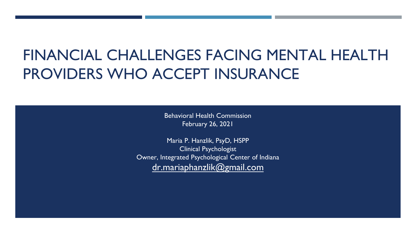# FINANCIAL CHALLENGES FACING MENTAL HEALTH PROVIDERS WHO ACCEPT INSURANCE

Behavioral Health Commission February 26, 2021

Maria P. Hanzlik, PsyD, HSPP Clinical Psychologist Owner, Integrated Psychological Center of Indiana [dr.mariaphanzlik@gmail.com](mailto:dr.mariaphanzlik@gmail.com)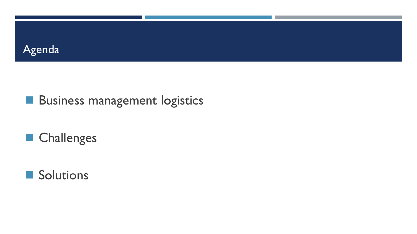

# **Business management logistics**

# ■ Challenges

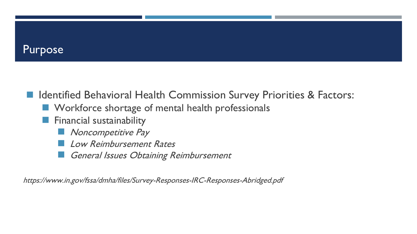### Purpose

### ■ Identified Behavioral Health Commission Survey Priorities & Factors:

- Workforce shortage of mental health professionals
- Financial sustainability
	- Noncompetitive Pay
	- **Low Reimbursement Rates**
	- General Issues Obtaining Reimbursement

<https://www.in.gov/fssa/dmha/files/Survey-Responses-IRC-Responses-Abridged.pdf>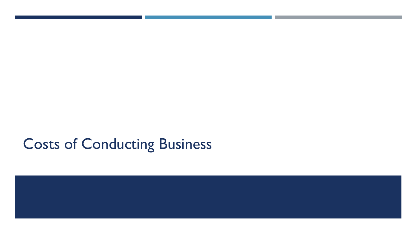# Costs of Conducting Business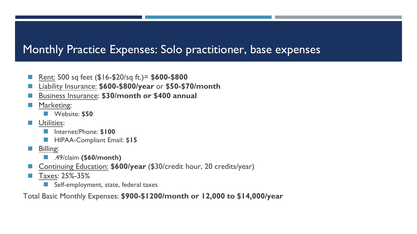### Monthly Practice Expenses: Solo practitioner, base expenses

- ◼ Rent: 500 sq feet (\$16-\$20/sq ft.)= **\$600-\$800**
- ◼ Liability Insurance: **\$600-\$800/year** or **\$50-\$70/month**
- ◼ Business Insurance: **\$30/month or \$400 annual**
- Marketing:
	- ◼ Website: **\$50**
- Utilities:
	- ◼ Internet/Phone: **\$100**
	- HIPAA-Compliant Email: \$15
- Billing:
	- ◼ .49/claim **(\$60/month)**
- ◼ Continuing Education: **\$600/year** (\$30/credit hour, 20 credits/year)
- Taxes: 25%-35%
	- Self-employment, state, federal taxes

Total Basic Monthly Expenses: **\$900-\$1200/month or 12,000 to \$14,000/year**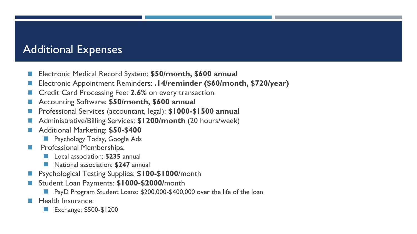### Additional Expenses

- Electronic Medical Record System: \$50/month, \$600 annual
- ◼ Electronic Appointment Reminders: **.14/reminder (\$60/month, \$720/year)**
- ◼ Credit Card Processing Fee: **2.6%** on every transaction
- ◼ Accounting Software: **\$50/month, \$600 annual**
- Professional Services (accountant, legal): \$1000-\$1500 annual
- ◼ Administrative/Billing Services: **\$1200/month** (20 hours/week)
- ◼ Additional Marketing: **\$50-\$400** 
	- **Psychology Today, Google Ads**
- **Professional Memberships:** 
	- ◼ Local association: **\$235** annual
	- ◼ National association: **\$247** annual
- **Psychological Testing Supplies: \$100-\$1000**/month
- ◼ Student Loan Payments: **\$1000-\$2000/**month
	- **PsyD Program Student Loans: \$200,000-\$400,000 over the life of the loan**
- Health Insurance:
	- Exchange: \$500-\$1200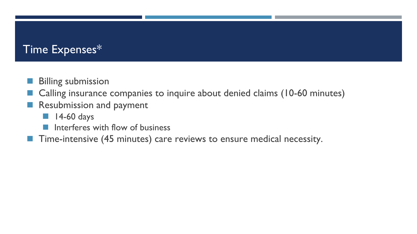### Time Expenses\*

- **Billing submission**
- Calling insurance companies to inquire about denied claims (10-60 minutes)
- Resubmission and payment
	- $\blacksquare$  14-60 days
	- Interferes with flow of business
- Time-intensive (45 minutes) care reviews to ensure medical necessity.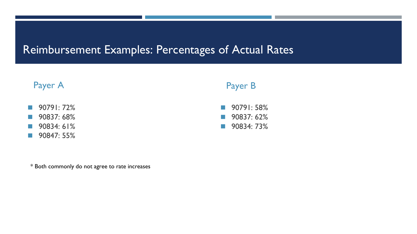### Reimbursement Examples: Percentages of Actual Rates



\* Both commonly do not agree to rate increases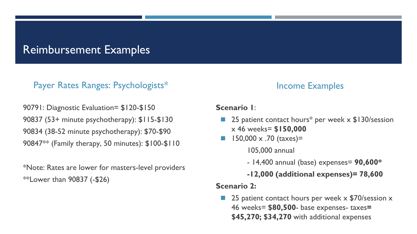### Reimbursement Examples

#### Payer Rates Ranges: Psychologists\*

 90847\*\* (Family therapy, 50 minutes): \$100-\$110 90791: Diagnostic Evaluation= \$120-\$150 90837 (53+ minute psychotherapy): \$115-\$130 90834 (38-52 minute psychotherapy): \$70-\$90

\*Note: Rates are lower for masters-level providers \*\*Lower than 90837 (-\$26)

#### Income Examples

#### **Scenario 1**:

- 25 patient contact hours<sup>\*</sup> per week x \$130/session x 46 weeks= **\$150,000**
- $150,000 \times .70$  (taxes)=

105,000 annual

- 14,400 annual (base) expenses= **90,600\***
- **-12,000 (additional expenses)= 78,600**

#### **Scenario 2:**

■ 25 patient contact hours per week x \$70/session x 46 weeks= **\$80,500**- base expenses- taxes**= \$45,270; \$34,270** with additional expenses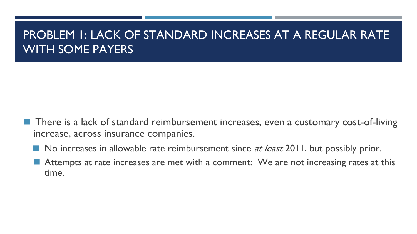## PROBLEM 1: LACK OF STANDARD INCREASES AT A REGULAR RATE WITH SOME PAYERS

- There is a lack of standard reimbursement increases, even a customary cost-of-living increase, across insurance companies.
	- No increases in allowable rate reimbursement since *at least* 2011, but possibly prior.
	- Attempts at rate increases are met with a comment: We are not increasing rates at this time.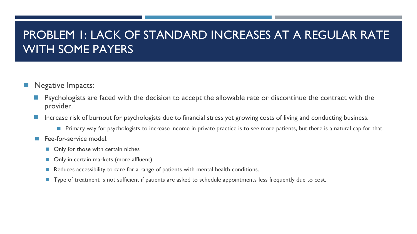### PROBLEM 1: LACK OF STANDARD INCREASES AT A REGULAR RATE WITH SOME PAYERS

- Negative Impacts:
	- Psychologists are faced with the decision to accept the allowable rate or discontinue the contract with the provider.
	- Increase risk of burnout for psychologists due to financial stress yet growing costs of living and conducting business.
		- Primary way for psychologists to increase income in private practice is to see more patients, but there is a natural cap for that.
	- Fee-for-service model:
		- Only for those with certain niches
		- Only in certain markets (more affluent)
		- Reduces accessibility to care for a range of patients with mental health conditions.
		- Type of treatment is not sufficient if patients are asked to schedule appointments less frequently due to cost.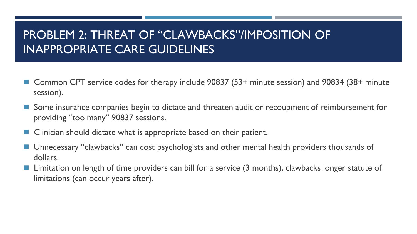## PROBLEM 2: THREAT OF "CLAWBACKS"/IMPOSITION OF INAPPROPRIATE CARE GUIDELINES

- Common CPT service codes for therapy include 90837 (53+ minute session) and 90834 (38+ minute session).
- Some insurance companies begin to dictate and threaten audit or recoupment of reimbursement for providing "too many" 90837 sessions.
- Clinician should dictate what is appropriate based on their patient.
- Unnecessary "clawbacks" can cost psychologists and other mental health providers thousands of dollars.
- Limitation on length of time providers can bill for a service (3 months), clawbacks longer statute of limitations (can occur years after).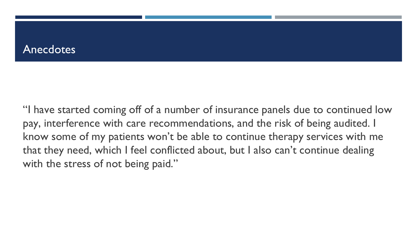### **Anecdotes**

with the stress of not being paid." "I have started coming off of a number of insurance panels due to continued low pay, interference with care recommendations, and the risk of being audited. I know some of my patients won't be able to continue therapy services with me that they need, which I feel conflicted about, but I also can't continue dealing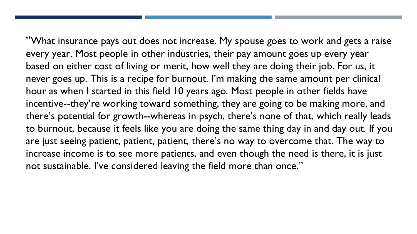incentive--they're working toward something, they are going to be making more, and "What insurance pays out does not increase. My spouse goes to work and gets a raise every year. Most people in other industries, their pay amount goes up every year based on either cost of living or merit, how well they are doing their job. For us, it never goes up. This is a recipe for burnout. I'm making the same amount per clinical hour as when I started in this field 10 years ago. Most people in other fields have there's potential for growth--whereas in psych, there's none of that, which really leads to burnout, because it feels like you are doing the same thing day in and day out. If you are just seeing patient, patient, patient, there's no way to overcome that. The way to increase income is to see more patients, and even though the need is there, it is just not sustainable. I've considered leaving the field more than once."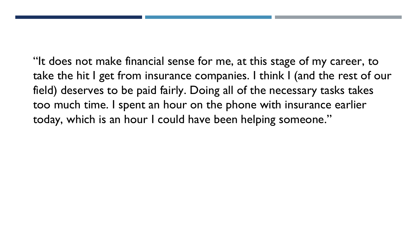too much time. I spent an hour on the phone with insurance earlier "It does not make financial sense for me, at this stage of my career, to take the hit I get from insurance companies. I think I (and the rest of our field) deserves to be paid fairly. Doing all of the necessary tasks takes today, which is an hour I could have been helping someone."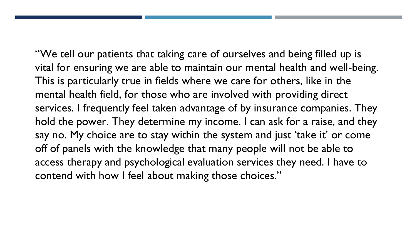"We tell our patients that taking care of ourselves and being filled up is vital for ensuring we are able to maintain our mental health and well-being. access therapy and psychological evaluation services they need. I have to This is particularly true in fields where we care for others, like in the mental health field, for those who are involved with providing direct services. I frequently feel taken advantage of by insurance companies. They hold the power. They determine my income. I can ask for a raise, and they say no. My choice are to stay within the system and just 'take it' or come off of panels with the knowledge that many people will not be able to contend with how I feel about making those choices."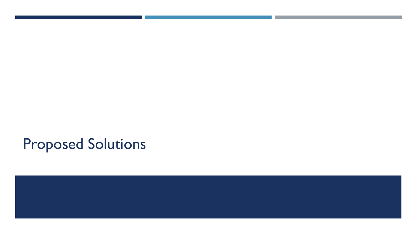# Proposed Solutions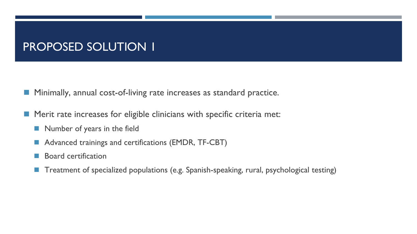### PROPOSED SOLUTION 1

■ Minimally, annual cost-of-living rate increases as standard practice.

- Merit rate increases for eligible clinicians with specific criteria met:
	- Number of years in the field
	- Advanced trainings and certifications (EMDR, TF-CBT)
	- Board certification
	- ◼ Treatment of specialized populations (e.g. Spanish-speaking, rural, psychological testing)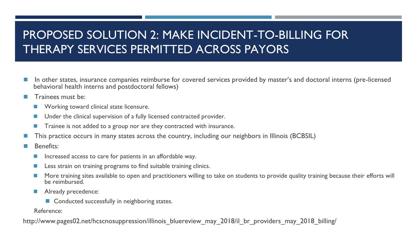## PROPOSED SOLUTION 2: MAKE INCIDENT-TO-BILLING FOR THERAPY SERVICES PERMITTED ACROSS PAYORS

- In other states, insurance companies reimburse for covered services provided by master's and doctoral interns (pre-licensed behavioral health interns and postdoctoral fellows)
- Trainees must be:
	- Working toward clinical state licensure.
	- Under the clinical supervision of a fully licensed contracted provider.
	- Trainee is not added to a group nor are they contracted with insurance.
- This practice occurs in many states across the country, including our neighbors in Illinois (BCBSIL)
- Benefits:
	- Increased access to care for patients in an affordable way.
	- Less strain on training programs to find suitable training clinics.
	- More training sites available to open and practitioners willing to take on students to provide quality training because their efforts will be reimbursed.
	- Already precedence:
		- Conducted successfully in neighboring states.

Reference:

http://www.pages02.net/hcscnosuppression/illinois bluereview may 2018/il br providers may 2018 billing/